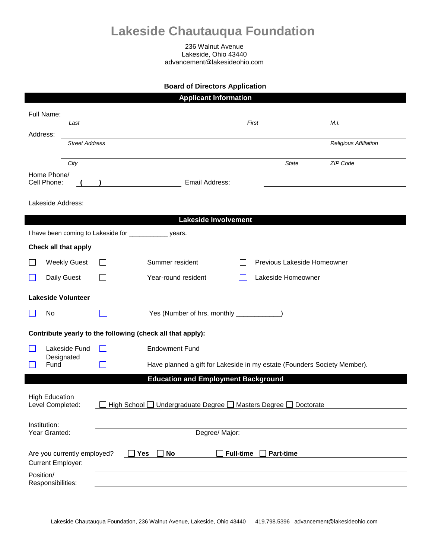## **Lakeside Chautauqua Foundation**

236 Walnut Avenue Lakeside, Ohio 43440 advancement@lakesideohio.com

## **Board of Directors Application**

|                                                           |                             |                                                                    | <b>Applicant Information</b>                                             |                                      |                             |  |
|-----------------------------------------------------------|-----------------------------|--------------------------------------------------------------------|--------------------------------------------------------------------------|--------------------------------------|-----------------------------|--|
|                                                           | Full Name:                  |                                                                    |                                                                          |                                      |                             |  |
|                                                           | Last                        |                                                                    |                                                                          | First                                | M.I.                        |  |
| Address:                                                  | <b>Street Address</b>       |                                                                    |                                                                          |                                      | Religious Affiliation       |  |
|                                                           | City                        |                                                                    |                                                                          | State                                | ZIP Code                    |  |
|                                                           | Home Phone/                 |                                                                    |                                                                          |                                      |                             |  |
|                                                           | Cell Phone:                 |                                                                    | Email Address:                                                           |                                      |                             |  |
|                                                           | Lakeside Address:           |                                                                    |                                                                          |                                      |                             |  |
|                                                           |                             |                                                                    | <b>Lakeside Involvement</b>                                              |                                      |                             |  |
| I have been coming to Lakeside for _______________ years. |                             |                                                                    |                                                                          |                                      |                             |  |
|                                                           | Check all that apply        |                                                                    |                                                                          |                                      |                             |  |
|                                                           | <b>Weekly Guest</b>         |                                                                    | Summer resident                                                          |                                      | Previous Lakeside Homeowner |  |
| $\mathcal{L}$                                             | Daily Guest                 | $\overline{\phantom{a}}$                                           | Year-round resident                                                      | Lakeside Homeowner                   |                             |  |
|                                                           | <b>Lakeside Volunteer</b>   |                                                                    |                                                                          |                                      |                             |  |
|                                                           | No                          |                                                                    | Yes (Number of hrs. monthly _____________)                               |                                      |                             |  |
|                                                           |                             |                                                                    | Contribute yearly to the following (check all that apply):               |                                      |                             |  |
| H                                                         | Lakeside Fund               | $\mathsf{L}$                                                       | <b>Endowment Fund</b>                                                    |                                      |                             |  |
|                                                           | Designated<br>Fund          |                                                                    | Have planned a gift for Lakeside in my estate (Founders Society Member). |                                      |                             |  |
|                                                           |                             |                                                                    | <b>Education and Employment Background</b>                               |                                      |                             |  |
|                                                           |                             |                                                                    |                                                                          |                                      |                             |  |
| <b>High Education</b><br>Level Completed:                 |                             | High School □ Undergraduate Degree □ Masters Degree □<br>Doctorate |                                                                          |                                      |                             |  |
| Institution:                                              |                             |                                                                    |                                                                          |                                      |                             |  |
| Year Granted:                                             |                             | Degree/ Major:                                                     |                                                                          |                                      |                             |  |
|                                                           | Are you currently employed? |                                                                    | <b>No</b><br>Yes                                                         | <b>Part-time</b><br><b>Full-time</b> |                             |  |
| <b>Current Employer:</b>                                  |                             |                                                                    |                                                                          |                                      |                             |  |
| Position/<br>Responsibilities:                            |                             |                                                                    |                                                                          |                                      |                             |  |
|                                                           |                             |                                                                    |                                                                          |                                      |                             |  |